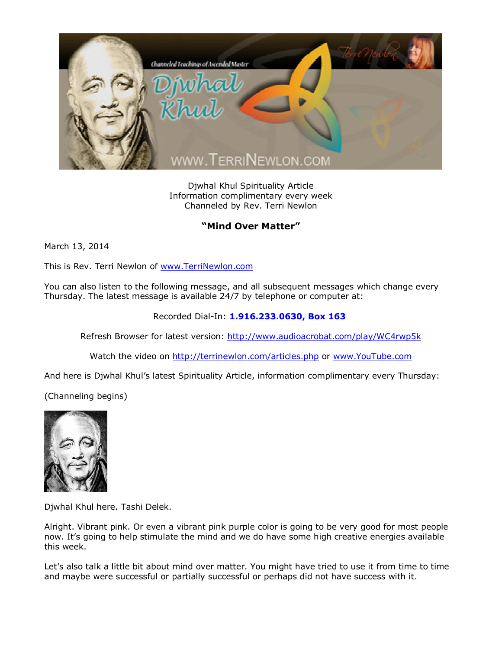

Djwhal Khul Spirituality Article Information complimentary every week Channeled by Rev. Terri Newlon

## **"Mind Over Matter"**

March 13, 2014

This is Rev. Terri Newlon of [www.TerriNewlon.com](http://www.terrinewlon.com/)

You can also listen to the following message, and all subsequent messages which change every Thursday. The latest message is available 24/7 by telephone or computer at:

Recorded Dial-In: **1.916.233.0630, Box 163**

Refresh Browser for latest version: <http://www.audioacrobat.com/play/WC4rwp5k>

Watch the video on <http://terrinewlon.com/articles.php> or [www.YouTube.com](http://www.youtube.com/)

And here is Djwhal Khul's latest Spirituality Article, information complimentary every Thursday:

(Channeling begins)



Djwhal Khul here. Tashi Delek.

Alright. Vibrant pink. Or even a vibrant pink purple color is going to be very good for most people now. It's going to help stimulate the mind and we do have some high creative energies available this week.

Let's also talk a little bit about mind over matter. You might have tried to use it from time to time and maybe were successful or partially successful or perhaps did not have success with it.